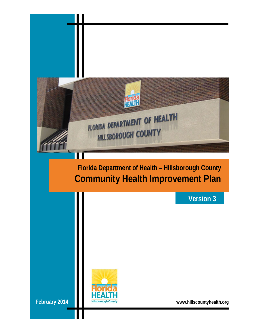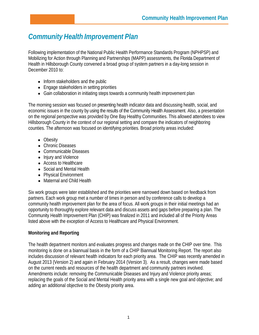# *Community Health Improvement Plan*

Following implementation of the National Public Health Performance Standards Program (NPHPSP) and Mobilizing for Action through Planning and Partnerships (MAPP) assessments, the Florida Department of Health in Hillsborough County convened a broad group of system partners in a day-long session in December 2010 to:

- Inform stakeholders and the public
- Engage stakeholders in setting priorities
- Gain collaboration in initiating steps towards a community health improvement plan

The morning session was focused on presenting health indicator data and discussing health, social, and economic issues in the county by using the results of the Community Health Assessment. Also, a presentation on the regional perspective was provided by One Bay Healthy Communities. This allowed attendees to view Hillsborough County in the context of our regional setting and compare the indicators of neighboring counties. The afternoon was focused on identifying priorities. Broad priority areas included:

- Obesity
- Chronic Diseases
- Communicable Diseases
- Injury and Violence
- Access to Healthcare
- Social and Mental Health
- Physical Environment
- Maternal and Child Health

Six work groups were later established and the priorities were narrowed down based on feedback from partners. Each work group met a number of times in person and by conference calls to develop a community health improvement plan for the area of focus. All work groups in their initial meetings had an opportunity to thoroughly explore relevant data and discuss assets and gaps before preparing a plan. The Community Health Improvement Plan (CHIP) was finalized in 2011 and included all of the Priority Areas listed above with the exception of Access to Healthcare and Physical Environment.

## **Monitoring and Reporting**

The health department monitors and evaluates progress and changes made on the CHIP over time. This monitoring is done on a biannual basis in the form of a CHIP Biannual Monitoring Report. The report also includes discussion of relevant health indicators for each priority area. The CHIP was recently amended in August 2013 (Version 2) and again in February 2014 (Version 3). As a result, changes were made based on the current needs and resources of the health department and community partners involved. Amendments include: removing the Communicable Diseases and Injury and Violence priority areas; replacing the goals of the Social and Mental Health priority area with a single new goal and objective; and adding an additional objective to the Obesity priority area.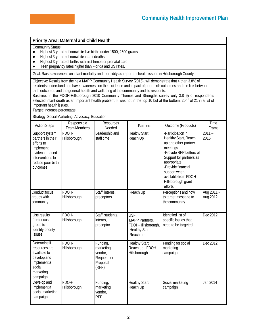## **Priority Area: Maternal and Child Health**

#### Community Status:

- Highest 3-yr rate of nonwhite live births under 1500, 2500 grams.<br>● Highest 3-yr rate of nonwhite infant deaths.
- Highest 3-yr rate of nonwhite infant deaths.
- Highest 3-yr rate of births with first trimester prenatal care.
- Teen pregnancy rates higher than Florida and US rates.

Goal: Raise awareness on infant mortality and morbidity as important health issues in Hillsborough County.

Objective: Results from the next MAPP Community Health Survey (2015), will demonstrate that > than 3.8% of residents understand and have awareness on the incidence and impact of poor birth outcomes and the link between birth outcomes and the general health and wellbeing of the community and its residents.

Baseline: In the FDOH-Hillsborough 2010 Community Themes and Strengths survey only 3.8 % of respondents<br>selected infant death as an important health problem. It was not in the top 10 but at the bottom, 20<sup>th</sup> of 21 in a li important health issues.

Target: Increase percentage

Strategy: Social Marketing, Advocacy, Education

| <b>Action Steps</b>                                                                                                                   | Responsible<br><b>Team Members</b> | <b>Resources</b><br>Needed                                           | Partners                                                                          | Outcome (Products)                                                                                                                                                                                                                                | Time<br>Frame          |
|---------------------------------------------------------------------------------------------------------------------------------------|------------------------------------|----------------------------------------------------------------------|-----------------------------------------------------------------------------------|---------------------------------------------------------------------------------------------------------------------------------------------------------------------------------------------------------------------------------------------------|------------------------|
| Support system<br>partners in their<br>efforts to<br>implement<br>evidence-based<br>interventions to<br>reduce poor birth<br>outcomes | FDOH-<br>Hillsborough              | Leadership and<br>staff time                                         | Healthy Start,<br>Reach Up                                                        | -Participation in<br>Healthy Start, Reach<br>up and other partner<br>meetings<br>-Provide RFP Letters of<br>Support for partners as<br>appropriate<br>-Provide financial<br>support when<br>available from FDOH-<br>Hillsborough grant<br>efforts | $2011 -$<br>2015       |
| Conduct focus<br>groups with<br>community                                                                                             | FDOH-<br>Hillsborough              | Staff, interns,<br>preceptors                                        | Reach Up                                                                          | Perceptions and how<br>to target message to<br>the community                                                                                                                                                                                      | Aug 2011 -<br>Aug 2012 |
| Use results<br>from focus<br>group to<br>identify priority<br>issues                                                                  | FDOH-<br>Hillsborough              | Staff, students,<br>interns,<br>preceptor                            | USF,<br><b>MAPP Partners,</b><br>FDOH-Hillsborough,<br>Healthy Start,<br>Reach up | Identified list of<br>specific issues that<br>need to be targeted                                                                                                                                                                                 | Dec 2012               |
| Determine if<br>resources are<br>available to<br>develop and<br>implement a<br>social<br>marketing<br>campaign                        | FDOH-<br>Hillsborough              | Funding,<br>marketing<br>vendor,<br>Request for<br>Proposal<br>(RFP) | Healthy Start,<br>Reach up, FDOH-<br>Hillsborough                                 | Funding for social<br>marketing<br>campaign                                                                                                                                                                                                       | Dec 2012               |
| Develop and<br>implement a<br>social marketing<br>campaign                                                                            | FDOH-<br>Hillsborough              | Funding,<br>marketing<br>vendor,<br><b>RFP</b>                       | Healthy Start,<br>Reach Up                                                        | Social marketing<br>campaign                                                                                                                                                                                                                      | Jan 2014               |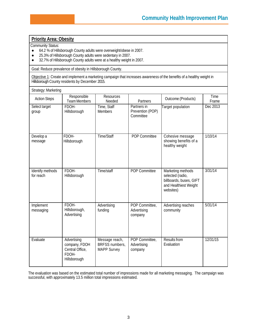## **Priority Area: Obesity**

Community Status:

- 64.2 % of Hillsborough County adults were overweight/obese in 2007.
- 25.3% of Hillsborough County adults were sedentary in 2007.
- 32.7% of Hillsborough County adults were at a healthy weight in 2007.

Goal: Reduce prevalence of obesity in Hillsborough County.

Objective 1: Create and implement a marketing campaign that increases awareness of the benefits of a healthy weight in Hillsborough County residents by December 2015.

| Strategy: Marketing           |                                                                          |                                                        |                                              |                                                                                                        |               |  |  |
|-------------------------------|--------------------------------------------------------------------------|--------------------------------------------------------|----------------------------------------------|--------------------------------------------------------------------------------------------------------|---------------|--|--|
| <b>Action Steps</b>           | Responsible<br><b>Team Members</b>                                       | <b>Resources</b><br>Needed                             | Partners                                     | Outcome (Products)                                                                                     | Time<br>Frame |  |  |
| Select target<br>group        | FDOH-<br>Hillsborough                                                    | Time, Staff<br><b>Members</b>                          | Partners in<br>Prevention (POP)<br>Committee | Target population                                                                                      | Dec 2013      |  |  |
| Develop a<br>message          | FDOH-<br>Hillsborough                                                    | Time/Staff                                             | <b>POP Committee</b>                         | Cohesive message<br>showing benefits of a<br>healthy weight                                            | 1/10/14       |  |  |
| Identify methods<br>for reach | FDOH-<br>Hillsborough                                                    | Time/staff                                             | <b>POP Committee</b>                         | Marketing methods<br>selected (radio,<br>billboards, buses, GIFT<br>and Healthiest Weight<br>websites) | 3/31/14       |  |  |
| Implement<br>messaging        | FDOH-<br>Hillsborough,<br>Advertising                                    | Advertising<br>funding                                 | POP Committee,<br>Advertising<br>company     | Advertising reaches<br>community                                                                       | 5/31/14       |  |  |
| Evaluate                      | Advertising<br>company, FDOH<br>Central Office,<br>FDOH-<br>Hillsborough | Message reach,<br>BRFSS numbers,<br><b>MAPP Survey</b> | POP Committee,<br>Advertising<br>company     | Results from<br>Evaluation                                                                             | 12/31/15      |  |  |

The evaluation was based on the estimated total number of impressions made for all marketing messaging. The campaign was successful, with approximately 13.5 million total impressions estimated.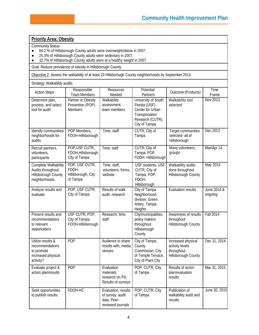### **Priority Area: Obesity**

Community Status:

action plan/results

Seek opportunities to publish results

- 64.2 % of Hillsborough County adults were overweight/obese in 2007.
- 25.3% of Hillsborough County adults were sedentary in 2007.
- 32.7% of Hillsborough County adults were at a healthy weight in 2007.

Goal: Reduce prevalence of obesity in Hillsborough County.

Objective 2: Assess the walkability of at least 10 Hillsborough County neighborhoods by September 2014.

| Strategy: Walkability audits                                                          |                                                           |                                                    |                                                                                                                 |                                                                            |                        |
|---------------------------------------------------------------------------------------|-----------------------------------------------------------|----------------------------------------------------|-----------------------------------------------------------------------------------------------------------------|----------------------------------------------------------------------------|------------------------|
| <b>Action Steps</b>                                                                   | Responsible<br>Team Members                               | <b>Resources</b><br>Needed                         | Potential<br>Partners                                                                                           | Outcome (Products)                                                         | Time<br>Frame          |
| Determine plan,<br>process, and select<br>tool for audit                              | Partner in Obesity<br>Prevention (POP)<br><b>Members</b>  | Walkability<br>assessment,<br>team members         | University of South<br>Florida (USF)<br>Center for Urban<br>Transportation<br>Research (CUTR),<br>City of Tampa | Walkability tool<br>selected                                               | <b>Nov 2013</b>        |
| Identify communities/<br>neighborhoods for<br>audits                                  | POP Members,<br>FDOH-Hillsborough                         | Time, staff                                        | CUTR, City of<br>Tampa                                                                                          | Target communities<br>selected- all of<br>Hillsborough                     | Dec 2013               |
| Recruit partners,<br>volunteers,<br>participants                                      | POP, USF CUTR,<br>FDOH-Hillsborough,<br>City of Tampa     | Time, staff                                        | CUTR, City of<br>Tampa, POP,<br>FDOH-Hillsborough                                                               | Many volunteers,<br>groups                                                 | Mar/Apr 14             |
| Complete Walkability<br>Audits throughout<br>Hillsborough County<br>neighborhoods     | POP, USF CUTR,<br>FDOH-<br>Hillsborough, City<br>of Tampa | Time, staff,<br>volunteers, forms,<br>website      | USF students, USF<br>CUTR, City of<br>Tampa, POP,<br>FDOH-<br>Hillsborough                                      | Walkability audits<br>done throughout<br>Hillsborough County               | May 2014               |
| Analyze results and<br>evaluate                                                       | POP, USF CUTR,<br>City of Tampa                           | Results of walk<br>audit, research                 | City of Tampa<br>Neighborhood<br>division, Green<br>Artery, Tampa<br>Heights                                    | <b>Evaluation results</b>                                                  | June 2014 &<br>ongoing |
| Present results and<br>recommendations<br>to relevant<br>stakeholders                 | USF CUTR, POP,<br>City of Tampa,<br>FDOH-Hillsborough     | Research, time,<br>staff                           | City/municipalities,<br>policy makers<br>throughout<br>Hillsborough<br>County                                   | Awareness of results<br>throughout<br>Hillsborough County                  | <b>Fall 2014</b>       |
| Utilize results &<br>recommendations<br>to promote<br>increased physical<br>activity? | POP                                                       | Audience to share<br>results with, media<br>venues | City of Tampa,<br>County<br>Commission, City<br>of Temple Terrace,<br>City of Plant City                        | Increased physical<br>activity levels<br>throughout<br>Hillsborough County | Dec 31, 2014           |
| Evaluate project &                                                                    | POP                                                       | Evaluation                                         | POP, CUTR, City                                                                                                 | Results of action                                                          | Mar 31, 2015           |

of Tampa

POP, CUTR, City of Tampa

plan/evaluation results

Publication of walkability audit and June 30, 2015

results

materials, research on PA, Results of surveys

of survey, audit data, Peerreviewed journals

FDOH-HC Evaluation, results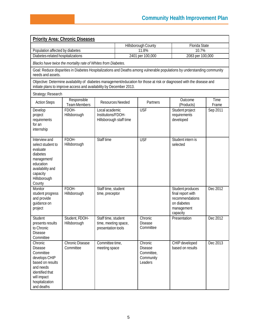| <b>Priority Area: Chronic Diseases</b>                                                                                                                                                        |                                                               |                                                                   |                     |                                                                 |                                                                                                   |               |  |  |
|-----------------------------------------------------------------------------------------------------------------------------------------------------------------------------------------------|---------------------------------------------------------------|-------------------------------------------------------------------|---------------------|-----------------------------------------------------------------|---------------------------------------------------------------------------------------------------|---------------|--|--|
|                                                                                                                                                                                               |                                                               |                                                                   | Hillsborough County |                                                                 | Florida State                                                                                     |               |  |  |
| Population affected by diabetes                                                                                                                                                               |                                                               |                                                                   | 11.8%               |                                                                 | 10.7%                                                                                             |               |  |  |
| Diabetes-related hospitalizations                                                                                                                                                             |                                                               |                                                                   | 2401 per 100,000    |                                                                 | 2083 per 100,000                                                                                  |               |  |  |
|                                                                                                                                                                                               | Blacks have twice the mortality rate of Whites from Diabetes. |                                                                   |                     |                                                                 |                                                                                                   |               |  |  |
| Goal: Reduce disparities in Diabetes Hospitalizations and Deaths among vulnerable populations by understanding community<br>needs and assets.                                                 |                                                               |                                                                   |                     |                                                                 |                                                                                                   |               |  |  |
| Objective: Determine availability of diabetes management/education for those at risk or diagnosed with the disease and<br>initiate plans to improve access and availability by December 2013. |                                                               |                                                                   |                     |                                                                 |                                                                                                   |               |  |  |
| Strategy: Research                                                                                                                                                                            |                                                               |                                                                   |                     |                                                                 |                                                                                                   |               |  |  |
| <b>Action Steps</b>                                                                                                                                                                           | Responsible<br><b>Team Members</b>                            | Resources Needed                                                  |                     | Partners                                                        | Outcome<br>(Products)                                                                             | Time<br>Frame |  |  |
| Develop<br>project<br>requirements<br>for an<br>internship                                                                                                                                    | FDOH-<br>Hillsborough                                         | Local academic<br>Institutions/FDOH-<br>Hillsborough staff time   |                     | <b>USF</b>                                                      | Student project<br>requirements<br>developed                                                      | Sep 2011      |  |  |
| Interview and<br>select student to<br>evaluate<br>diabetes<br>management/<br>education<br>availability and<br>capacity<br>Hillsborough<br>County                                              | FDOH-<br>Hillsborough                                         | Staff time                                                        |                     | <b>USF</b>                                                      | Student intern is<br>selected                                                                     |               |  |  |
| Monitor<br>student progress<br>and provide<br>guidance on<br>project                                                                                                                          | FDOH-<br>Hillsborough                                         | Staff time, student<br>time, preceptor                            |                     |                                                                 | Student produces<br>final report with<br>recommendations<br>on diabetes<br>management<br>capacity | Dec 2012      |  |  |
| Student<br>presents results<br>to Chronic<br><b>Disease</b><br>Committee                                                                                                                      | Student, FDOH-<br>Hillsborough                                | Staff time, student<br>time, meeting space,<br>presentation tools |                     | Chronic<br><b>Disease</b><br>Committee                          | Presentation                                                                                      | Dec 2012      |  |  |
| Chronic<br><b>Disease</b><br>Committee<br>develops CHIP<br>based on results<br>and needs<br>identified that<br>will impact<br>hospitalization<br>and deaths                                   | <b>Chronic Disease</b><br>Committee                           | Committee time,<br>meeting space                                  |                     | Chronic<br><b>Disease</b><br>Committee,<br>Community<br>Leaders | CHIP developed<br>based on results                                                                | Dec 2013      |  |  |